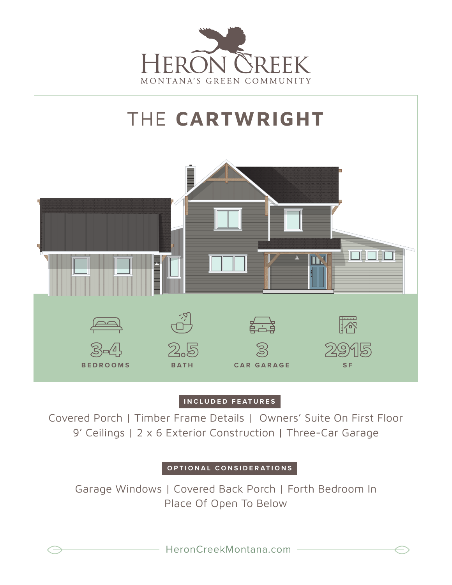



## **INCLUDED FEATURES**

Covered Porch | Timber Frame Details | Owners' Suite On First Floor 9' Ceilings | 2 x 6 Exterior Construction | Three-Car Garage

## **OPTIONAL CONSIDERATIONS**

Garage Windows | Covered Back Porch | Forth Bedroom In Place Of Open To Below

HeronCreekMontana.com